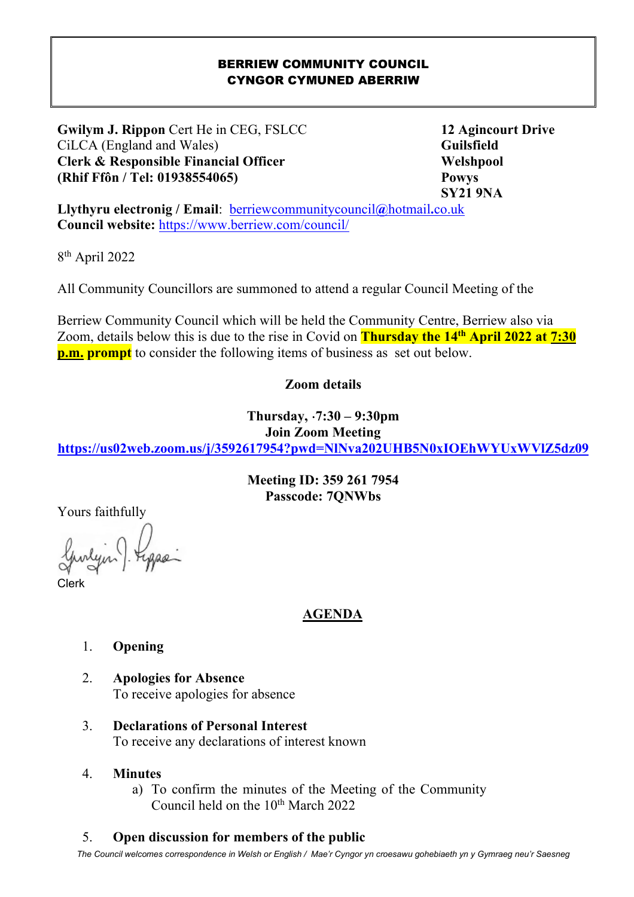#### BERRIEW COMMUNITY COUNCIL CYNGOR CYMUNED ABERRIW

**Gwilym J. Rippon** Cert He in CEG, FSLCC 12 Agincourt Drive CiLCA (England and Wales) **Guilsfield Clerk & Responsible Financial Officer Welshpool Welshpool (Rhif Ffôn / Tel: 01938554065) Powys** 

 **SY21 9NA** 

**Llythyru electronig / Email**: berriewcommunitycouncil**@**hotmail**.**co.uk **Council website:** https://www.berriew.com/council/

8 th April 2022

I

All Community Councillors are summoned to attend a regular Council Meeting of the

Berriew Community Council which will be held the Community Centre, Berriew also via Zoom, details below this is due to the rise in Covid on **Thursday the 14th April 2022 at 7:30 p.m. prompt** to consider the following items of business as set out below.

## **Zoom details**

**Thursday,** ⋅**7:30 – 9:30pm** 

**Join Zoom Meeting** 

**https://us02web.zoom.us/j/3592617954?pwd=NlNva202UHB5N0xIOEhWYUxWVlZ5dz09**

**Meeting ID: 359 261 7954 Passcode: 7QNWbs** 

Yours faithfully

Clerk

## **AGENDA**

### 1. **Opening**

- 2. **Apologies for Absence**  To receive apologies for absence
- 3. **Declarations of Personal Interest**  To receive any declarations of interest known

#### 4. **Minutes**

a) To confirm the minutes of the Meeting of the Community Council held on the 10<sup>th</sup> March 2022

### 5. **Open discussion for members of the public**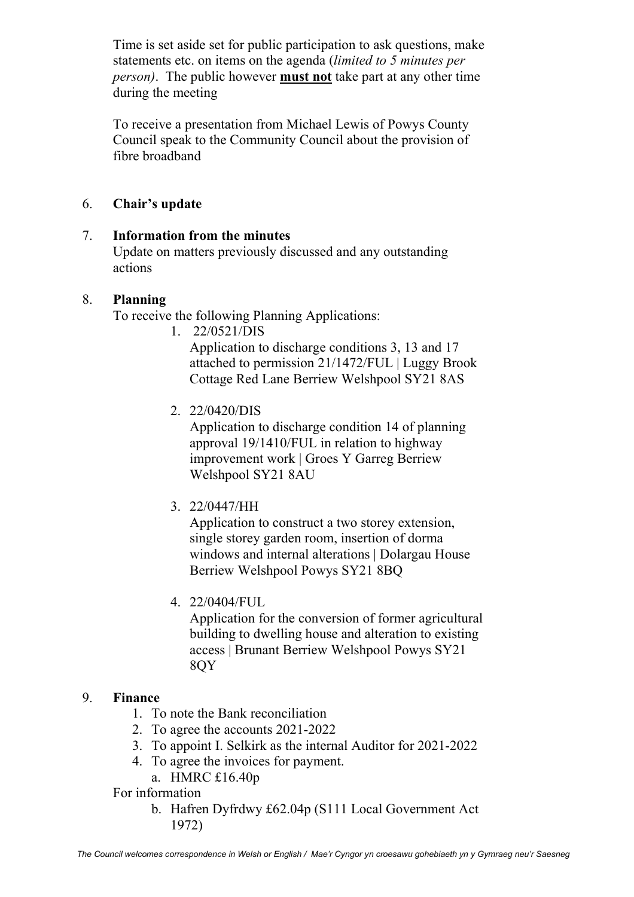Time is set aside set for public participation to ask questions, make statements etc. on items on the agenda (*limited to 5 minutes per person)*. The public however **must not** take part at any other time during the meeting

To receive a presentation from Michael Lewis of Powys County Council speak to the Community Council about the provision of fibre broadband

## 6. **Chair's update**

## 7. **Information from the minutes**

Update on matters previously discussed and any outstanding actions

### 8. **Planning**

To receive the following Planning Applications:

1. 22/0521/DIS

Application to discharge conditions 3, 13 and 17 attached to permission 21/1472/FUL | Luggy Brook Cottage Red Lane Berriew Welshpool SY21 8AS

2. 22/0420/DIS

Application to discharge condition 14 of planning approval 19/1410/FUL in relation to highway improvement work | Groes Y Garreg Berriew Welshpool SY21 8AU

3. 22/0447/HH

Application to construct a two storey extension, single storey garden room, insertion of dorma windows and internal alterations | Dolargau House Berriew Welshpool Powys SY21 8BQ

4. 22/0404/FUL

Application for the conversion of former agricultural building to dwelling house and alteration to existing access | Brunant Berriew Welshpool Powys SY21 8QY

### 9. **Finance**

- 1. To note the Bank reconciliation
- 2. To agree the accounts 2021-2022
- 3. To appoint I. Selkirk as the internal Auditor for 2021-2022
- 4. To agree the invoices for payment.
	- a. HMRC £16.40p
- For information
	- b. Hafren Dyfrdwy £62.04p (S111 Local Government Act 1972)